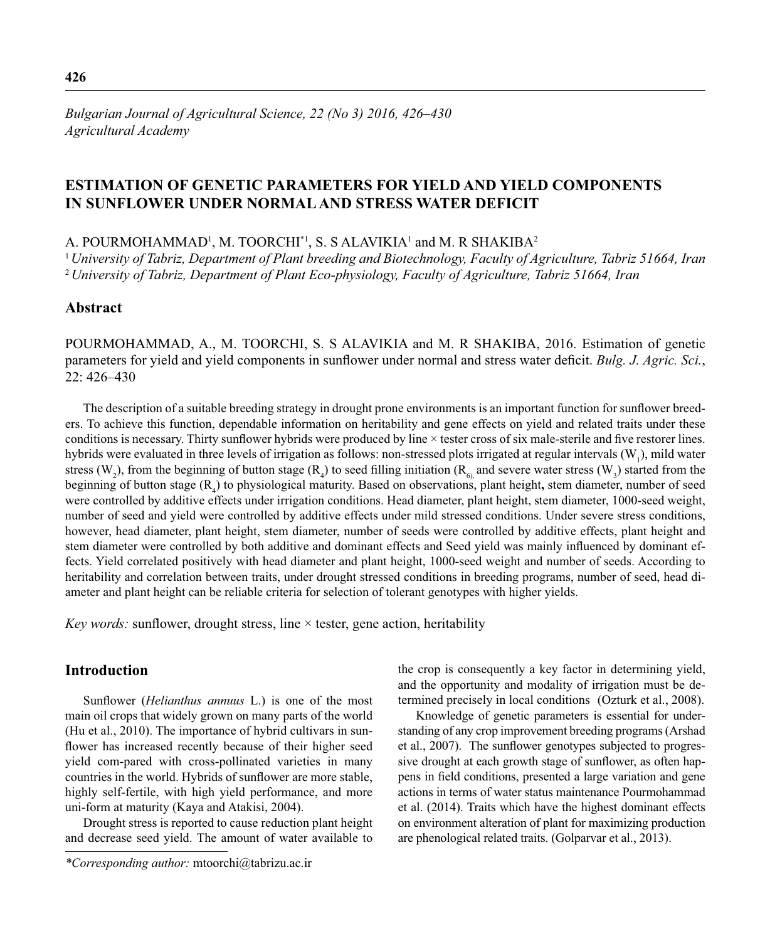# **ESTIMATION OF GENETIC PARAMETERS FOR YIELD AND YIELD COMPONENTS IN SUNFLOWER UNDER NORMAL AND STRESS WATER DEFICIT**

A. POURMOHAMMAD<sup>1</sup>, M. TOORCHI<sup>\*1</sup>, S. S ALAVIKIA<sup>1</sup> and M. R SHAKIBA<sup>2</sup>

<sup>1</sup>*University of Tabriz, Department of Plant breeding and Biotechnology, Faculty of Agriculture, Tabriz 51664, Iran* <sup>2</sup>*University of Tabriz, Department of Plant Eco-physiology, Faculty of Agriculture, Tabriz 51664, Iran*

# **Abstract**

POURMOHAMMAD, A., M. TOORCHI, S. S ALAVIKIA and M. R SHAKIBA, 2016. Estimation of genetic parameters for yield and yield components in sunflower under normal and stress water deficit. *Bulg. J. Agric. Sci.*, 22: 426–430

The description of a suitable breeding strategy in drought prone environments is an important function for sunflower breeders. To achieve this function, dependable information on heritability and gene effects on yield and related traits under these conditions is necessary. Thirty sunflower hybrids were produced by line × tester cross of six male-sterile and five restorer lines. hybrids were evaluated in three levels of irrigation as follows: non-stressed plots irrigated at regular intervals  $(W_1)$ , mild water stress (W<sub>2</sub>), from the beginning of button stage (R<sub>4</sub>) to seed filling initiation (R<sub>6)</sub> and severe water stress (W<sub>3</sub>) started from the beginning of button stage (R4 ) to physiological maturity. Based on observations, plant height**,** stem diameter, number of seed were controlled by additive effects under irrigation conditions. Head diameter, plant height, stem diameter, 1000-seed weight, number of seed and yield were controlled by additive effects under mild stressed conditions. Under severe stress conditions, however, head diameter, plant height, stem diameter, number of seeds were controlled by additive effects, plant height and stem diameter were controlled by both additive and dominant effects and Seed yield was mainly influenced by dominant effects. Yield correlated positively with head diameter and plant height, 1000-seed weight and number of seeds. According to heritability and correlation between traits, under drought stressed conditions in breeding programs, number of seed, head diameter and plant height can be reliable criteria for selection of tolerant genotypes with higher yields.

*Key words:* sunflower, drought stress, line  $\times$  tester, gene action, heritability

# **Introduction**

Sunflower (*Helianthus annuus* L.) is one of the most main oil crops that widely grown on many parts of the world (Hu et al., 2010). The importance of hybrid cultivars in sunflower has increased recently because of their higher seed yield com-pared with cross-pollinated varieties in many countries in the world. Hybrids of sunflower are more stable, highly self-fertile, with high yield performance, and more uni-form at maturity (Kaya and Atakisi, 2004).

Drought stress is reported to cause reduction plant height and decrease seed yield. The amount of water available to the crop is consequently a key factor in determining yield, and the opportunity and modality of irrigation must be determined precisely in local conditions (Ozturk et al., 2008).

Knowledge of genetic parameters is essential for understanding of any crop improvement breeding programs (Arshad et al., 2007). The sunflower genotypes subjected to progressive drought at each growth stage of sunflower, as often happens in field conditions, presented a large variation and gene actions in terms of water status maintenance Pourmohammad et al. (2014). Traits which have the highest dominant effects on environment alteration of plant for maximizing production are phenological related traits. (Golparvar et al., 2013).

*<sup>\*</sup>Corresponding author:* mtoorchi@tabrizu.ac.ir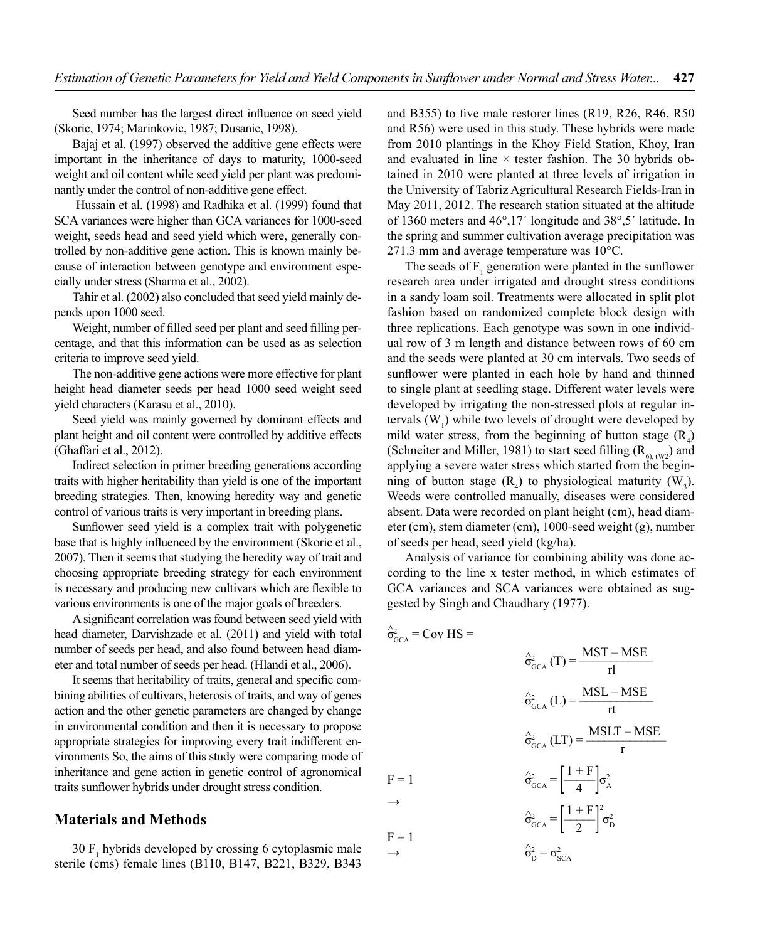Seed number has the largest direct influence on seed yield (Skoric, 1974; Marinkovic, 1987; Dusanic, 1998).

Bajaj et al. (1997) observed the additive gene effects were important in the inheritance of days to maturity, 1000-seed weight and oil content while seed yield per plant was predominantly under the control of non-additive gene effect.

 Hussain et al. (1998) and Radhika et al. (1999) found that SCA variances were higher than GCA variances for 1000-seed weight, seeds head and seed yield which were, generally controlled by non-additive gene action. This is known mainly because of interaction between genotype and environment especially under stress (Sharma et al., 2002).

Tahir et al. (2002) also concluded that seed yield mainly depends upon 1000 seed.

Weight, number of filled seed per plant and seed filling percentage, and that this information can be used as as selection criteria to improve seed yield.

The non-additive gene actions were more effective for plant height head diameter seeds per head 1000 seed weight seed yield characters (Karasu et al., 2010).

Seed yield was mainly governed by dominant effects and plant height and oil content were controlled by additive effects (Ghaffari et al., 2012).

Indirect selection in primer breeding generations according traits with higher heritability than yield is one of the important breeding strategies. Then, knowing heredity way and genetic control of various traits is very important in breeding plans.

Sunflower seed yield is a complex trait with polygenetic base that is highly influenced by the environment (Skoric et al., 2007). Then it seems that studying the heredity way of trait and choosing appropriate breeding strategy for each environment is necessary and producing new cultivars which are flexible to various environments is one of the major goals of breeders.

A significant correlation was found between seed yield with head diameter, Darvishzade et al. (2011) and yield with total number of seeds per head, and also found between head diameter and total number of seeds per head. (Hlandi et al., 2006).

It seems that heritability of traits, general and specific combining abilities of cultivars, heterosis of traits, and way of genes action and the other genetic parameters are changed by change in environmental condition and then it is necessary to propose appropriate strategies for improving every trait indifferent environments So, the aims of this study were comparing mode of inheritance and gene action in genetic control of agronomical traits sunflower hybrids under drought stress condition.

# **Materials and Methods**

30  $F_1$  hybrids developed by crossing 6 cytoplasmic male sterile (cms) female lines (B110, B147, B221, B329, B343

and B355) to five male restorer lines (R19, R26, R46, R50 and R56) were used in this study. These hybrids were made from 2010 plantings in the Khoy Field Station, Khoy, Iran and evaluated in line  $\times$  tester fashion. The 30 hybrids obtained in 2010 were planted at three levels of irrigation in the University of Tabriz Agricultural Research Fields-Iran in May 2011, 2012. The research station situated at the altitude of 1360 meters and 46°,17´ longitude and 38°,5´ latitude. In the spring and summer cultivation average precipitation was 271.3 mm and average temperature was 10°C.

The seeds of  $F_1$  generation were planted in the sunflower research area under irrigated and drought stress conditions in a sandy loam soil. Treatments were allocated in split plot fashion based on randomized complete block design with three replications. Each genotype was sown in one individual row of 3 m length and distance between rows of 60 cm and the seeds were planted at 30 cm intervals. Two seeds of sunflower were planted in each hole by hand and thinned to single plant at seedling stage. Different water levels were developed by irrigating the non-stressed plots at regular intervals  $(W_1)$  while two levels of drought were developed by mild water stress, from the beginning of button stage  $(R_4)$ (Schneiter and Miller, 1981) to start seed filling  $(R<sub>6)</sub>, (W<sub>2</sub>)$  and applying a severe water stress which started from the beginning of button stage  $(R_4)$  to physiological maturity  $(W_3)$ . Weeds were controlled manually, diseases were considered absent. Data were recorded on plant height (cm), head diameter (cm), stem diameter (cm), 1000-seed weight (g), number of seeds per head, seed yield (kg/ha).

Analysis of variance for combining ability was done according to the line x tester method, in which estimates of GCA variances and SCA variances were obtained as suggested by Singh and Chaudhary (1977).

$$
\hat{\sigma}_{GCA}^{2} = \text{Cov HS} =
$$
\n
$$
\hat{\sigma}_{GCA}^{2} (T) = \frac{\text{MST} - \text{MSE}}{r!}
$$
\n
$$
\hat{\sigma}_{GCA}^{2} (L) = \frac{\text{MSL} - \text{MSE}}{r!}
$$
\n
$$
\hat{\sigma}_{GCA}^{2} (LT) = \frac{\text{MSLT} - \text{MSE}}{r}
$$
\n
$$
F = 1
$$
\n
$$
\hat{\sigma}_{GCA}^{2} = \left[\frac{1 + F}{4}\right] \sigma_{A}^{2}
$$
\n
$$
F = 1
$$
\n
$$
\hat{\sigma}_{GCA}^{2} = \left[\frac{1 + F}{2}\right]^{2} \sigma_{D}^{2}
$$
\n
$$
\hat{\sigma}_{D}^{2} = \sigma_{SCA}^{2}
$$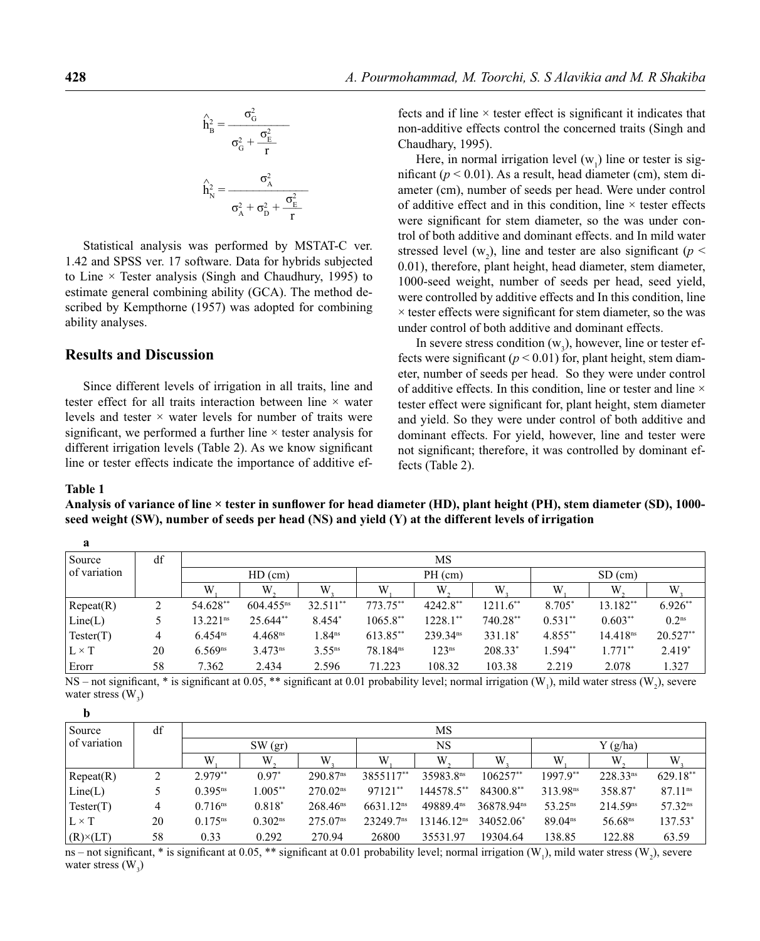$$
\hat{h}_{B}^{2} = \frac{\sigma_{G}^{2}}{\sigma_{G}^{2} + \frac{\sigma_{E}^{2}}{r}}
$$
\n
$$
\hat{h}_{N}^{2} = \frac{\sigma_{A}^{2}}{\sigma_{A}^{2} + \sigma_{D}^{2} + \frac{\sigma_{E}^{2}}{r}}
$$

Statistical analysis was performed by MSTAT-C ver. 1.42 and SPSS ver. 17 software. Data for hybrids subjected to Line  $\times$  Tester analysis (Singh and Chaudhury, 1995) to estimate general combining ability (GCA). The method described by Kempthorne (1957) was adopted for combining ability analyses.

### **Results and Discussion**

Since different levels of irrigation in all traits, line and tester effect for all traits interaction between line × water levels and tester  $\times$  water levels for number of traits were significant, we performed a further line  $\times$  tester analysis for different irrigation levels (Table 2). As we know significant line or tester effects indicate the importance of additive effects and if line  $\times$  tester effect is significant it indicates that non-additive effects control the concerned traits (Singh and Chaudhary, 1995).

Here, in normal irrigation level  $(w_1)$  line or tester is significant ( $p < 0.01$ ). As a result, head diameter (cm), stem diameter (cm), number of seeds per head. Were under control of additive effect and in this condition, line  $\times$  tester effects were significant for stem diameter, so the was under control of both additive and dominant effects. and In mild water stressed level  $(w_2)$ , line and tester are also significant ( $p <$ 0.01), therefore, plant height, head diameter, stem diameter, 1000-seed weight, number of seeds per head, seed yield, were controlled by additive effects and In this condition, line  $\times$  tester effects were significant for stem diameter, so the was under control of both additive and dominant effects.

In severe stress condition  $(w_3)$ , however, line or tester effects were significant  $(p < 0.01)$  for, plant height, stem diameter, number of seeds per head. So they were under control of additive effects. In this condition, line or tester and line  $\times$ tester effect were significant for, plant height, stem diameter and yield. So they were under control of both additive and dominant effects. For yield, however, line and tester were not significant; therefore, it was controlled by dominant effects (Table 2).

#### **Table 1**

**b**

Analysis of variance of line × tester in sunflower for head diameter (HD), plant height (PH), stem diameter (SD), 1000**seed weight (SW), number of seeds per head (NS) and yield (Y) at the different levels of irrigation**

| a            |    |                        |                       |                    |                      |                      |            |            |                      |                   |
|--------------|----|------------------------|-----------------------|--------------------|----------------------|----------------------|------------|------------|----------------------|-------------------|
| Source       | df | MS                     |                       |                    |                      |                      |            |            |                      |                   |
| of variation |    | $HD$ (cm)              |                       |                    | $PH$ (cm)            |                      |            | $SD$ (cm)  |                      |                   |
|              |    | W                      | W                     | W                  | W                    | W.                   | W          | W          | W.                   | W.                |
| Recer(R)     | 2  | 54.628**               | $604.455^{ns}$        | $32.511**$         | 773.75**             | $4242.8**$           | $1211.6**$ | 8.705*     | 13.182**             | $6.926**$         |
| Line(L)      |    | $13.221$ <sup>ns</sup> | $25.644**$            | 8.454*             | $1065.8**$           | $1228.1**$           | $740.28**$ | $0.531**$  | $0.603**$            | 0.2 <sup>ns</sup> |
| Tester(T)    | 4  | $6.454^{ns}$           | $4.468$ <sup>ns</sup> | 1.84 <sup>ns</sup> | 613.85**             | 239.34 <sup>ns</sup> | 331.18*    | $4.855***$ | 14.418 <sup>ns</sup> | $20.527**$        |
| $L \times T$ | 20 | $6.569^{ns}$           | $3.473^{ns}$          | $3.55^{ns}$        | 78.184 <sup>ns</sup> | 123 <sup>ns</sup>    | $208.33*$  | 1.594**    | $1.771**$            | $2.419*$          |
| Erorr        | 58 | 7.362                  | 2.434                 | 2.596              | 71.223               | 108.32               | 103.38     | 2.219      | 2.078                | 1.327             |

NS – not significant, \* is significant at 0.05, \*\* significant at 0.01 probability level; normal irrigation  $(W_1)$ , mild water stress  $(W_2)$ , severe water stress  $(W_3)$ 

| $\overline{\phantom{a}}$ |    |              |              |                        |                         |                        |                        |                      |                      |                       |
|--------------------------|----|--------------|--------------|------------------------|-------------------------|------------------------|------------------------|----------------------|----------------------|-----------------------|
| Source                   | df | MS           |              |                        |                         |                        |                        |                      |                      |                       |
| of variation             |    | $SW$ $(qr)$  |              |                        | NS                      |                        |                        | $Y$ (g/ha)           |                      |                       |
|                          |    | W            | W            | W                      | W                       | W                      | W                      | W                    | W                    | W                     |
| Recat(R)                 | ∍  | $2.979**$    | $0.97^*$     | $290.87$ <sup>ns</sup> | 3855117**               | 35983.8ns              | $106257**$             | $1997.9**$           | $228.33^{ns}$        | $629.18**$            |
| Line(L)                  |    | $0.395^{ns}$ | $1.005***$   | 270.02 <sup>ns</sup>   | 97121**                 | 144578.5**             | 84300.8**              | 313.98 <sup>ns</sup> | 358.87*              | 87.11 <sup>ns</sup>   |
| Tester(T)                | 4  | $0.716^{ns}$ | $0.818*$     | $268.46$ <sup>ns</sup> | $6631.12$ <sup>ns</sup> | 49889.4 <sup>ns</sup>  | 36878.94 <sup>ns</sup> | $53.25^{ns}$         | 214.59 <sup>ns</sup> | $57.32$ <sup>ns</sup> |
| $L \times T$             | 20 | $0.175^{ns}$ | $0.302^{ns}$ | 275.07 <sup>ns</sup>   | 23249.7 <sup>ns</sup>   | 13146.12 <sup>ns</sup> | 34052.06*              | 89.04 <sup>ns</sup>  | 56.68 <sup>ns</sup>  | 137.53*               |
| $(R) \times (LT)$        | 58 | 0.33         | 0.292        | 270.94                 | 26800                   | 35531.97               | 19304.64               | 138.85               | 122.88               | 63.59                 |

ns – not significant, \* is significant at 0.05, \*\* significant at 0.01 probability level; normal irrigation (W<sub>1</sub>), mild water stress (W<sub>2</sub>), severe water stress  $(W_3)$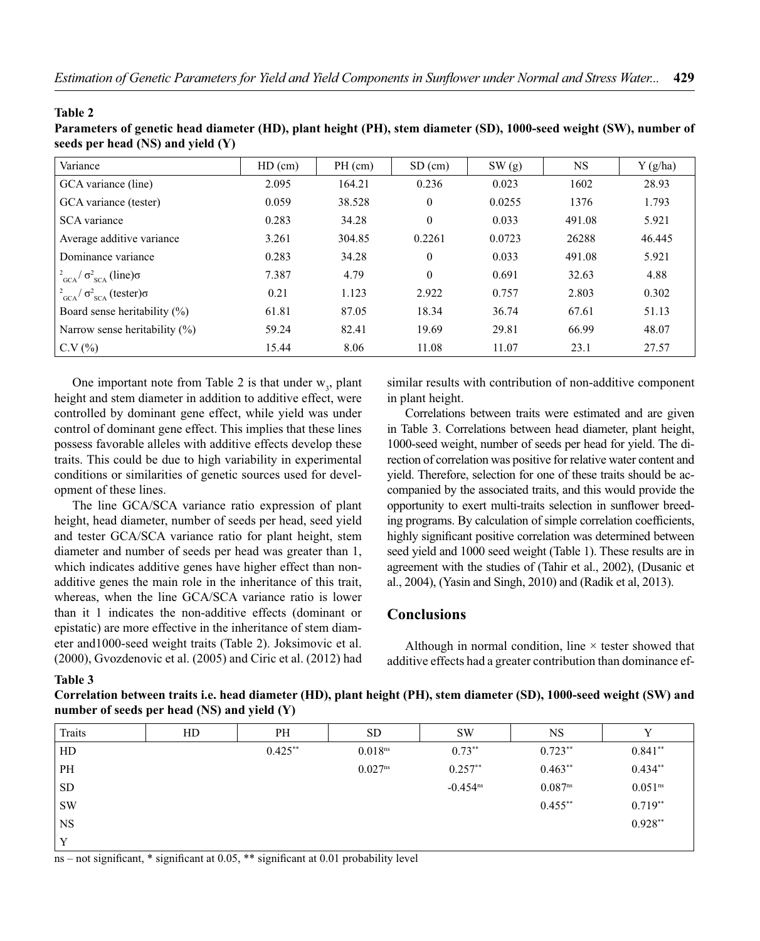| seeds per head (NS) and yield (Y)                    |           |         |           |        |           |            |  |  |
|------------------------------------------------------|-----------|---------|-----------|--------|-----------|------------|--|--|
| Variance                                             | $HD$ (cm) | PH (cm) | $SD$ (cm) | SW(g)  | <b>NS</b> | $Y$ (g/ha) |  |  |
| GCA variance (line)                                  | 2.095     | 164.21  | 0.236     | 0.023  | 1602      | 28.93      |  |  |
| GCA variance (tester)                                | 0.059     | 38.528  | $\theta$  | 0.0255 | 1376      | 1.793      |  |  |
| <b>SCA</b> variance                                  | 0.283     | 34.28   | $\theta$  | 0.033  | 491.08    | 5.921      |  |  |
| Average additive variance                            | 3.261     | 304.85  | 0.2261    | 0.0723 | 26288     | 46.445     |  |  |
| Dominance variance                                   | 0.283     | 34.28   | $\theta$  | 0.033  | 491.08    | 5.921      |  |  |
| $\frac{2}{3CA}$ $\sigma_{SCA}^2$ (line) $\sigma$     | 7.387     | 4.79    | $\theta$  | 0.691  | 32.63     | 4.88       |  |  |
| $\frac{2}{3CA}$ / $\sigma_{SCA}^2$ (tester) $\sigma$ | 0.21      | 1.123   | 2.922     | 0.757  | 2.803     | 0.302      |  |  |
| Board sense heritability $(\% )$                     | 61.81     | 87.05   | 18.34     | 36.74  | 67.61     | 51.13      |  |  |
| Narrow sense heritability $(\%)$                     | 59.24     | 82.41   | 19.69     | 29.81  | 66.99     | 48.07      |  |  |
| C.V(%)                                               | 15.44     | 8.06    | 11.08     | 11.07  | 23.1      | 27.57      |  |  |

**Table 2**

**Parameters of genetic head diameter (HD), plant height (PH), stem diameter (SD), 1000-seed weight (SW), number of** 

One important note from Table 2 is that under  $w_3$ , plant height and stem diameter in addition to additive effect, were controlled by dominant gene effect, while yield was under control of dominant gene effect. This implies that these lines possess favorable alleles with additive effects develop these traits. This could be due to high variability in experimental conditions or similarities of genetic sources used for development of these lines.

The line GCA/SCA variance ratio expression of plant height, head diameter, number of seeds per head, seed yield and tester GCA/SCA variance ratio for plant height, stem diameter and number of seeds per head was greater than 1, which indicates additive genes have higher effect than nonadditive genes the main role in the inheritance of this trait, whereas, when the line GCA/SCA variance ratio is lower than it 1 indicates the non-additive effects (dominant or epistatic) are more effective in the inheritance of stem diameter and1000-seed weight traits (Table 2). Joksimovic et al. (2000), Gvozdenovic et al. (2005) and Ciric et al. (2012) had

similar results with contribution of non-additive component in plant height.

Correlations between traits were estimated and are given in Table 3. Correlations between head diameter, plant height, 1000-seed weight, number of seeds per head for yield. The direction of correlation was positive for relative water content and yield. Therefore, selection for one of these traits should be accompanied by the associated traits, and this would provide the opportunity to exert multi-traits selection in sunflower breeding programs. By calculation of simple correlation coefficients, highly significant positive correlation was determined between seed yield and 1000 seed weight (Table 1). These results are in agreement with the studies of (Tahir et al., 2002), (Dusanic et al., 2004), (Yasin and Singh, 2010) and (Radik et al, 2013).

# **Conclusions**

Although in normal condition, line  $\times$  tester showed that additive effects had a greater contribution than dominance ef-

### **Table 3**

**Correlation between traits i.e. head diameter (HD), plant height (PH), stem diameter (SD), 1000-seed weight (SW) and number of seeds per head (NS) and yield (Y)**

| Traits    | HD | PH         | <b>SD</b>           | <b>SW</b>     | <b>NS</b>           | $\mathbf{v}$        |
|-----------|----|------------|---------------------|---------------|---------------------|---------------------|
| HD        |    | $0.425***$ | 0.018 <sup>ns</sup> | $0.73***$     | $0.723**$           | $0.841**$           |
| PH        |    |            | $0.027^{ns}$        | $0.257**$     | $0.463**$           | $0.434**$           |
| <b>SD</b> |    |            |                     | $-0.454^{ns}$ | 0.087 <sup>ns</sup> | 0.051 <sup>ns</sup> |
| <b>SW</b> |    |            |                     |               | $0.455***$          | $0.719**$           |
| <b>NS</b> |    |            |                     |               |                     | $0.928**$           |
| v         |    |            |                     |               |                     |                     |

ns – not significant, \* significant at  $0.05$ , \*\* significant at  $0.01$  probability level